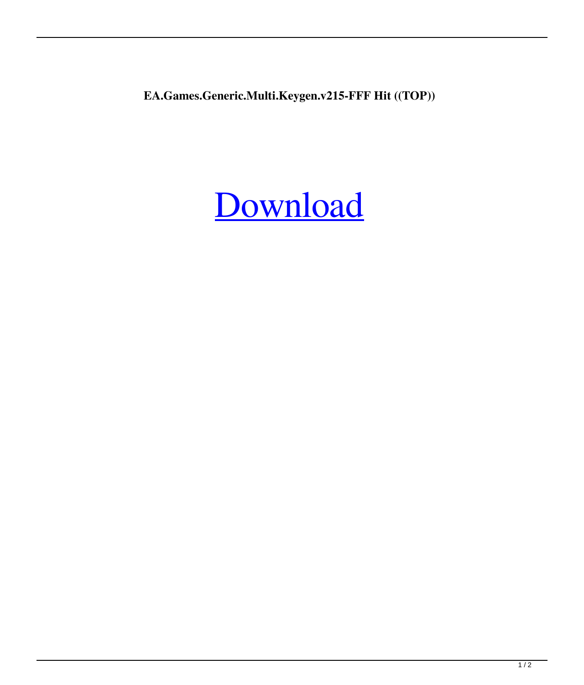**EA.Games.Generic.Multi.Keygen.v215-FFF Hit ((TOP))**